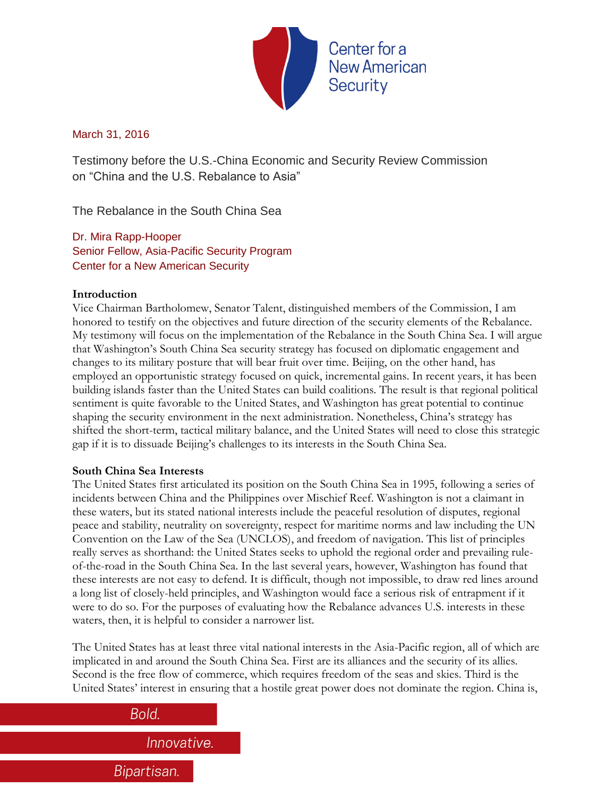

# March 31, 2016

Testimony before the U.S.-China Economic and Security Review Commission on "China and the U.S. Rebalance to Asia"

The Rebalance in the South China Sea

Dr. Mira Rapp-Hooper Senior Fellow, Asia-Pacific Security Program Center for a New American Security

## **Introduction**

Vice Chairman Bartholomew, Senator Talent, distinguished members of the Commission, I am honored to testify on the objectives and future direction of the security elements of the Rebalance. My testimony will focus on the implementation of the Rebalance in the South China Sea. I will argue that Washington's South China Sea security strategy has focused on diplomatic engagement and changes to its military posture that will bear fruit over time. Beijing, on the other hand, has employed an opportunistic strategy focused on quick, incremental gains. In recent years, it has been building islands faster than the United States can build coalitions. The result is that regional political sentiment is quite favorable to the United States, and Washington has great potential to continue shaping the security environment in the next administration. Nonetheless, China's strategy has shifted the short-term, tactical military balance, and the United States will need to close this strategic gap if it is to dissuade Beijing's challenges to its interests in the South China Sea.

# **South China Sea Interests**

The United States first articulated its position on the South China Sea in 1995, following a series of incidents between China and the Philippines over Mischief Reef. Washington is not a claimant in these waters, but its stated national interests include the peaceful resolution of disputes, regional peace and stability, neutrality on sovereignty, respect for maritime norms and law including the UN Convention on the Law of the Sea (UNCLOS), and freedom of navigation. This list of principles really serves as shorthand: the United States seeks to uphold the regional order and prevailing ruleof-the-road in the South China Sea. In the last several years, however, Washington has found that these interests are not easy to defend. It is difficult, though not impossible, to draw red lines around a long list of closely-held principles, and Washington would face a serious risk of entrapment if it were to do so. For the purposes of evaluating how the Rebalance advances U.S. interests in these waters, then, it is helpful to consider a narrower list.

The United States has at least three vital national interests in the Asia-Pacific region, all of which are implicated in and around the South China Sea. First are its alliances and the security of its allies. Second is the free flow of commerce, which requires freedom of the seas and skies. Third is the United States' interest in ensuring that a hostile great power does not dominate the region. China is,

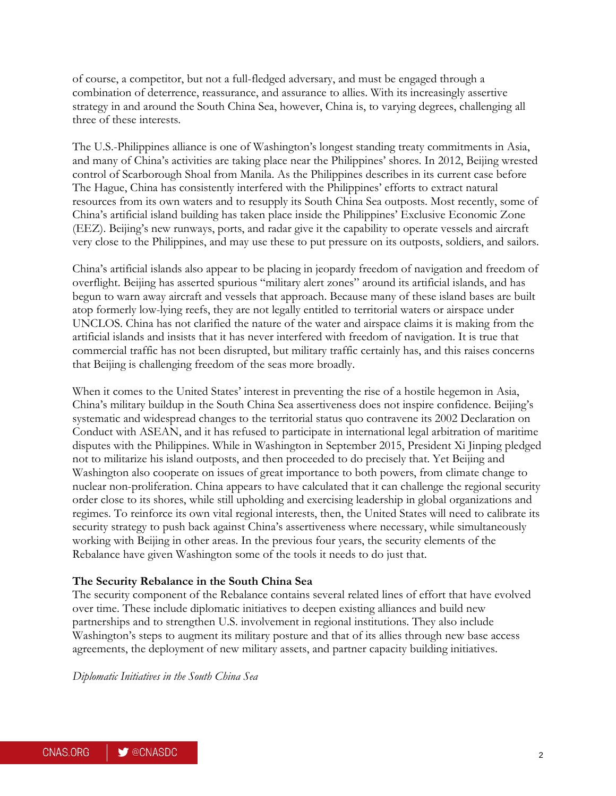of course, a competitor, but not a full-fledged adversary, and must be engaged through a combination of deterrence, reassurance, and assurance to allies. With its increasingly assertive strategy in and around the South China Sea, however, China is, to varying degrees, challenging all three of these interests.

The U.S.-Philippines alliance is one of Washington's longest standing treaty commitments in Asia, and many of China's activities are taking place near the Philippines' shores. In 2012, Beijing wrested control of Scarborough Shoal from Manila. As the Philippines describes in its current case before The Hague, China has consistently interfered with the Philippines' efforts to extract natural resources from its own waters and to resupply its South China Sea outposts. Most recently, some of China's artificial island building has taken place inside the Philippines' Exclusive Economic Zone (EEZ). Beijing's new runways, ports, and radar give it the capability to operate vessels and aircraft very close to the Philippines, and may use these to put pressure on its outposts, soldiers, and sailors.

China's artificial islands also appear to be placing in jeopardy freedom of navigation and freedom of overflight. Beijing has asserted spurious "military alert zones" around its artificial islands, and has begun to warn away aircraft and vessels that approach. Because many of these island bases are built atop formerly low-lying reefs, they are not legally entitled to territorial waters or airspace under UNCLOS. China has not clarified the nature of the water and airspace claims it is making from the artificial islands and insists that it has never interfered with freedom of navigation. It is true that commercial traffic has not been disrupted, but military traffic certainly has, and this raises concerns that Beijing is challenging freedom of the seas more broadly.

When it comes to the United States' interest in preventing the rise of a hostile hegemon in Asia, China's military buildup in the South China Sea assertiveness does not inspire confidence. Beijing's systematic and widespread changes to the territorial status quo contravene its 2002 Declaration on Conduct with ASEAN, and it has refused to participate in international legal arbitration of maritime disputes with the Philippines. While in Washington in September 2015, President Xi Jinping pledged not to militarize his island outposts, and then proceeded to do precisely that. Yet Beijing and Washington also cooperate on issues of great importance to both powers, from climate change to nuclear non-proliferation. China appears to have calculated that it can challenge the regional security order close to its shores, while still upholding and exercising leadership in global organizations and regimes. To reinforce its own vital regional interests, then, the United States will need to calibrate its security strategy to push back against China's assertiveness where necessary, while simultaneously working with Beijing in other areas. In the previous four years, the security elements of the Rebalance have given Washington some of the tools it needs to do just that.

#### **The Security Rebalance in the South China Sea**

The security component of the Rebalance contains several related lines of effort that have evolved over time. These include diplomatic initiatives to deepen existing alliances and build new partnerships and to strengthen U.S. involvement in regional institutions. They also include Washington's steps to augment its military posture and that of its allies through new base access agreements, the deployment of new military assets, and partner capacity building initiatives.

*Diplomatic Initiatives in the South China Sea*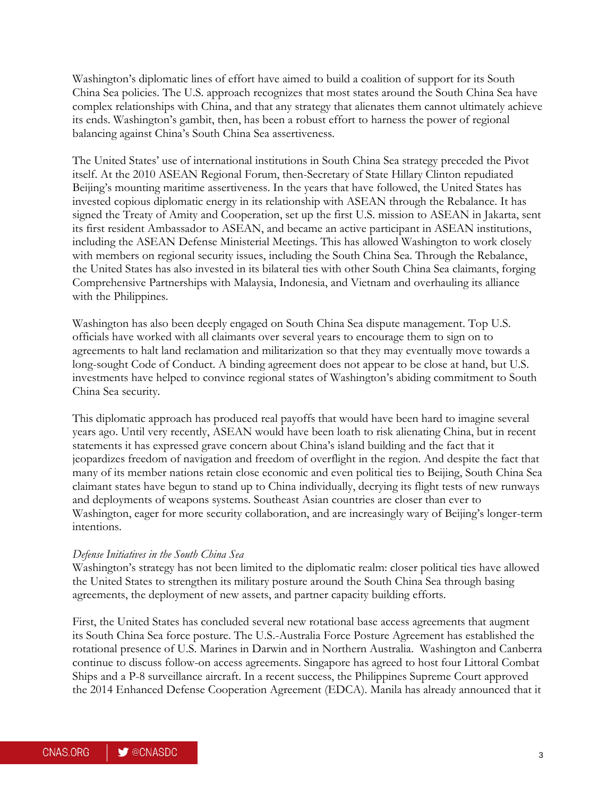Washington's diplomatic lines of effort have aimed to build a coalition of support for its South China Sea policies. The U.S. approach recognizes that most states around the South China Sea have complex relationships with China, and that any strategy that alienates them cannot ultimately achieve its ends. Washington's gambit, then, has been a robust effort to harness the power of regional balancing against China's South China Sea assertiveness.

The United States' use of international institutions in South China Sea strategy preceded the Pivot itself. At the 2010 ASEAN Regional Forum, then-Secretary of State Hillary Clinton repudiated Beijing's mounting maritime assertiveness. In the years that have followed, the United States has invested copious diplomatic energy in its relationship with ASEAN through the Rebalance. It has signed the Treaty of Amity and Cooperation, set up the first U.S. mission to ASEAN in Jakarta, sent its first resident Ambassador to ASEAN, and became an active participant in ASEAN institutions, including the ASEAN Defense Ministerial Meetings. This has allowed Washington to work closely with members on regional security issues, including the South China Sea. Through the Rebalance, the United States has also invested in its bilateral ties with other South China Sea claimants, forging Comprehensive Partnerships with Malaysia, Indonesia, and Vietnam and overhauling its alliance with the Philippines.

Washington has also been deeply engaged on South China Sea dispute management. Top U.S. officials have worked with all claimants over several years to encourage them to sign on to agreements to halt land reclamation and militarization so that they may eventually move towards a long-sought Code of Conduct. A binding agreement does not appear to be close at hand, but U.S. investments have helped to convince regional states of Washington's abiding commitment to South China Sea security.

This diplomatic approach has produced real payoffs that would have been hard to imagine several years ago. Until very recently, ASEAN would have been loath to risk alienating China, but in recent statements it has expressed grave concern about China's island building and the fact that it jeopardizes freedom of navigation and freedom of overflight in the region. And despite the fact that many of its member nations retain close economic and even political ties to Beijing, South China Sea claimant states have begun to stand up to China individually, decrying its flight tests of new runways and deployments of weapons systems. Southeast Asian countries are closer than ever to Washington, eager for more security collaboration, and are increasingly wary of Beijing's longer-term intentions.

#### *Defense Initiatives in the South China Sea*

Washington's strategy has not been limited to the diplomatic realm: closer political ties have allowed the United States to strengthen its military posture around the South China Sea through basing agreements, the deployment of new assets, and partner capacity building efforts.

First, the United States has concluded several new rotational base access agreements that augment its South China Sea force posture. The U.S.-Australia Force Posture Agreement has established the rotational presence of U.S. Marines in Darwin and in Northern Australia. Washington and Canberra continue to discuss follow-on access agreements. Singapore has agreed to host four Littoral Combat Ships and a P-8 surveillance aircraft. In a recent success, the Philippines Supreme Court approved the 2014 Enhanced Defense Cooperation Agreement (EDCA). Manila has already announced that it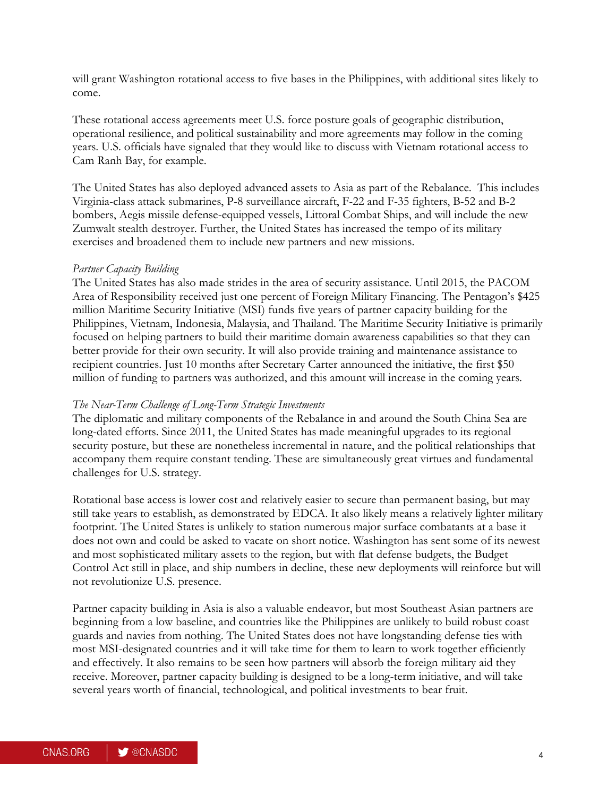will grant Washington rotational access to five bases in the Philippines, with additional sites likely to come.

These rotational access agreements meet U.S. force posture goals of geographic distribution, operational resilience, and political sustainability and more agreements may follow in the coming years. U.S. officials have signaled that they would like to discuss with Vietnam rotational access to Cam Ranh Bay, for example.

The United States has also deployed advanced assets to Asia as part of the Rebalance. This includes Virginia-class attack submarines, P-8 surveillance aircraft, F-22 and F-35 fighters, B-52 and B-2 bombers, Aegis missile defense-equipped vessels, Littoral Combat Ships, and will include the new Zumwalt stealth destroyer. Further, the United States has increased the tempo of its military exercises and broadened them to include new partners and new missions.

### *Partner Capacity Building*

The United States has also made strides in the area of security assistance. Until 2015, the PACOM Area of Responsibility received just one percent of Foreign Military Financing. The Pentagon's \$425 million Maritime Security Initiative (MSI) funds five years of partner capacity building for the Philippines, Vietnam, Indonesia, Malaysia, and Thailand. The Maritime Security Initiative is primarily focused on helping partners to build their maritime domain awareness capabilities so that they can better provide for their own security. It will also provide training and maintenance assistance to recipient countries. Just 10 months after Secretary Carter announced the initiative, the first \$50 million of funding to partners was authorized, and this amount will increase in the coming years.

#### *The Near-Term Challenge of Long-Term Strategic Investments*

The diplomatic and military components of the Rebalance in and around the South China Sea are long-dated efforts. Since 2011, the United States has made meaningful upgrades to its regional security posture, but these are nonetheless incremental in nature, and the political relationships that accompany them require constant tending. These are simultaneously great virtues and fundamental challenges for U.S. strategy.

Rotational base access is lower cost and relatively easier to secure than permanent basing, but may still take years to establish, as demonstrated by EDCA. It also likely means a relatively lighter military footprint. The United States is unlikely to station numerous major surface combatants at a base it does not own and could be asked to vacate on short notice. Washington has sent some of its newest and most sophisticated military assets to the region, but with flat defense budgets, the Budget Control Act still in place, and ship numbers in decline, these new deployments will reinforce but will not revolutionize U.S. presence.

Partner capacity building in Asia is also a valuable endeavor, but most Southeast Asian partners are beginning from a low baseline, and countries like the Philippines are unlikely to build robust coast guards and navies from nothing. The United States does not have longstanding defense ties with most MSI-designated countries and it will take time for them to learn to work together efficiently and effectively. It also remains to be seen how partners will absorb the foreign military aid they receive. Moreover, partner capacity building is designed to be a long-term initiative, and will take several years worth of financial, technological, and political investments to bear fruit.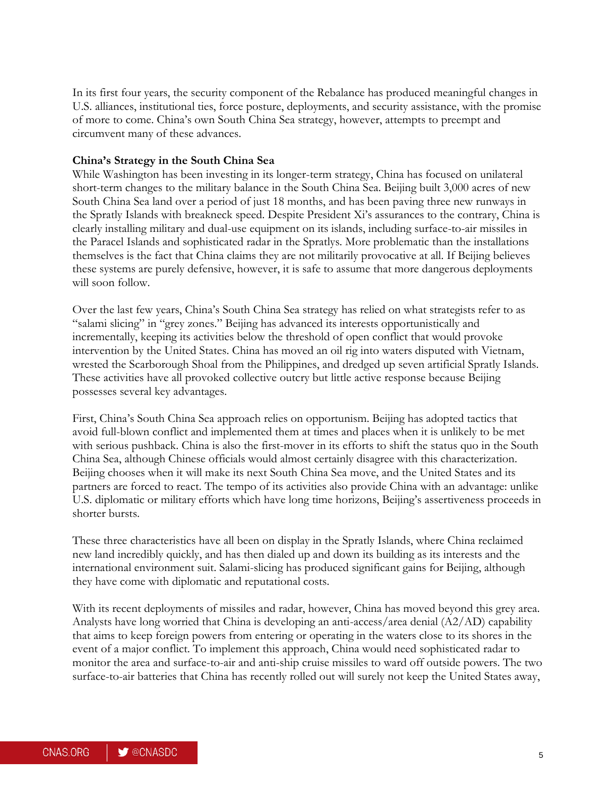In its first four years, the security component of the Rebalance has produced meaningful changes in U.S. alliances, institutional ties, force posture, deployments, and security assistance, with the promise of more to come. China's own South China Sea strategy, however, attempts to preempt and circumvent many of these advances.

#### **China's Strategy in the South China Sea**

While Washington has been investing in its longer-term strategy, China has focused on unilateral short-term changes to the military balance in the South China Sea. Beijing built 3,000 acres of new South China Sea land over a period of just 18 months, and has been paving three new runways in the Spratly Islands with breakneck speed. Despite President Xi's assurances to the contrary, China is clearly installing military and dual-use equipment on its islands, including surface-to-air missiles in the Paracel Islands and sophisticated radar in the Spratlys. More problematic than the installations themselves is the fact that China claims they are not militarily provocative at all. If Beijing believes these systems are purely defensive, however, it is safe to assume that more dangerous deployments will soon follow.

Over the last few years, China's South China Sea strategy has relied on what strategists refer to as "salami slicing" in "grey zones." Beijing has advanced its interests opportunistically and incrementally, keeping its activities below the threshold of open conflict that would provoke intervention by the United States. China has moved an oil rig into waters disputed with Vietnam, wrested the Scarborough Shoal from the Philippines, and dredged up seven artificial Spratly Islands. These activities have all provoked collective outcry but little active response because Beijing possesses several key advantages.

First, China's South China Sea approach relies on opportunism. Beijing has adopted tactics that avoid full-blown conflict and implemented them at times and places when it is unlikely to be met with serious pushback. China is also the first-mover in its efforts to shift the status quo in the South China Sea, although Chinese officials would almost certainly disagree with this characterization. Beijing chooses when it will make its next South China Sea move, and the United States and its partners are forced to react. The tempo of its activities also provide China with an advantage: unlike U.S. diplomatic or military efforts which have long time horizons, Beijing's assertiveness proceeds in shorter bursts.

These three characteristics have all been on display in the Spratly Islands, where China reclaimed new land incredibly quickly, and has then dialed up and down its building as its interests and the international environment suit. Salami-slicing has produced significant gains for Beijing, although they have come with diplomatic and reputational costs.

With its recent deployments of missiles and radar, however, China has moved beyond this grey area. Analysts have long worried that China is developing an anti-access/area denial (A2/AD) capability that aims to keep foreign powers from entering or operating in the waters close to its shores in the event of a major conflict. To implement this approach, China would need sophisticated radar to monitor the area and surface-to-air and anti-ship cruise missiles to ward off outside powers. The two surface-to-air batteries that China has recently rolled out will surely not keep the United States away,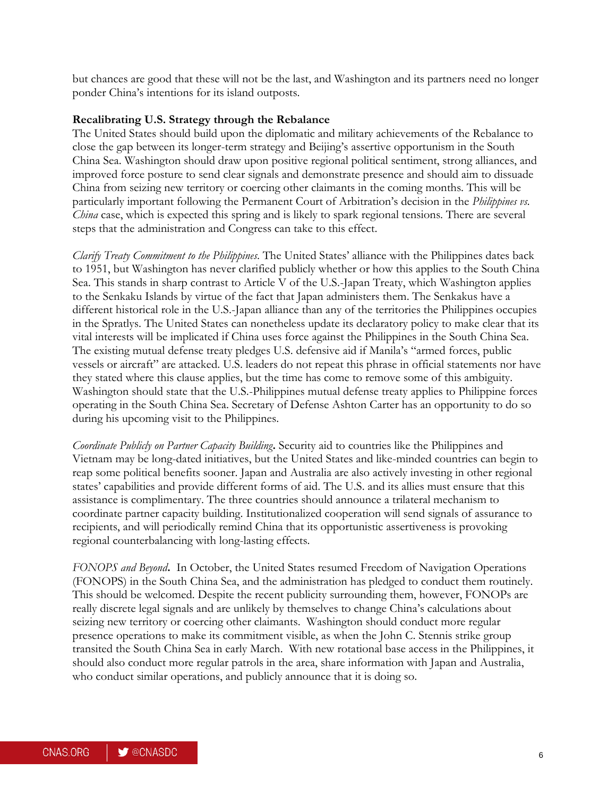but chances are good that these will not be the last, and Washington and its partners need no longer ponder China's intentions for its island outposts.

### **Recalibrating U.S. Strategy through the Rebalance**

The United States should build upon the diplomatic and military achievements of the Rebalance to close the gap between its longer-term strategy and Beijing's assertive opportunism in the South China Sea. Washington should draw upon positive regional political sentiment, strong alliances, and improved force posture to send clear signals and demonstrate presence and should aim to dissuade China from seizing new territory or coercing other claimants in the coming months. This will be particularly important following the Permanent Court of Arbitration's decision in the *Philippines vs. China* case, which is expected this spring and is likely to spark regional tensions. There are several steps that the administration and Congress can take to this effect.

*Clarify Treaty Commitment to the Philippines*. The United States' alliance with the Philippines dates back to 1951, but Washington has never clarified publicly whether or how this applies to the South China Sea. This stands in sharp contrast to Article V of the U.S.-Japan Treaty, which Washington applies to the Senkaku Islands by virtue of the fact that Japan administers them. The Senkakus have a different historical role in the U.S.-Japan alliance than any of the territories the Philippines occupies in the Spratlys. The United States can nonetheless update its declaratory policy to make clear that its vital interests will be implicated if China uses force against the Philippines in the South China Sea. The existing mutual defense treaty pledges U.S. defensive aid if Manila's "armed forces, public vessels or aircraft" are attacked. U.S. leaders do not repeat this phrase in official statements nor have they stated where this clause applies, but the time has come to remove some of this ambiguity. Washington should state that the U.S.-Philippines mutual defense treaty applies to Philippine forces operating in the South China Sea. Secretary of Defense Ashton Carter has an opportunity to do so during his upcoming visit to the Philippines.

*Coordinate Publicly on Partner Capacity Building***.** Security aid to countries like the Philippines and Vietnam may be long-dated initiatives, but the United States and like-minded countries can begin to reap some political benefits sooner. Japan and Australia are also actively investing in other regional states' capabilities and provide different forms of aid. The U.S. and its allies must ensure that this assistance is complimentary. The three countries should announce a trilateral mechanism to coordinate partner capacity building. Institutionalized cooperation will send signals of assurance to recipients, and will periodically remind China that its opportunistic assertiveness is provoking regional counterbalancing with long-lasting effects.

*FONOPS and Beyond***.** In October, the United States resumed Freedom of Navigation Operations (FONOPS) in the South China Sea, and the administration has pledged to conduct them routinely. This should be welcomed. Despite the recent publicity surrounding them, however, FONOPs are really discrete legal signals and are unlikely by themselves to change China's calculations about seizing new territory or coercing other claimants. Washington should conduct more regular presence operations to make its commitment visible, as when the John C. Stennis strike group transited the South China Sea in early March. With new rotational base access in the Philippines, it should also conduct more regular patrols in the area, share information with Japan and Australia, who conduct similar operations, and publicly announce that it is doing so.